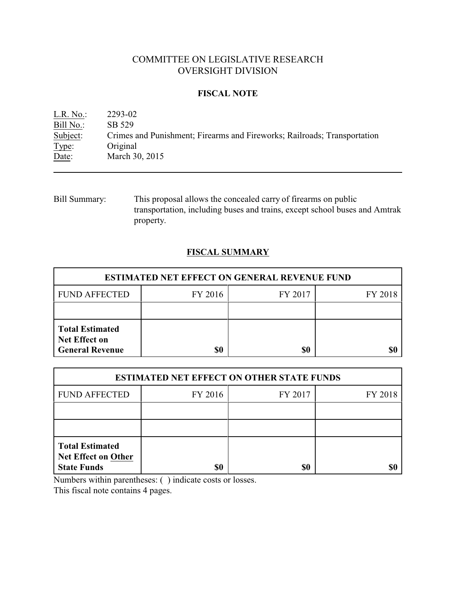# COMMITTEE ON LEGISLATIVE RESEARCH OVERSIGHT DIVISION

## **FISCAL NOTE**

| L.R. No.  | 2293-02                                                                  |
|-----------|--------------------------------------------------------------------------|
| Bill No.: | SB 529                                                                   |
| Subject:  | Crimes and Punishment; Firearms and Fireworks; Railroads; Transportation |
| Type:     | Original                                                                 |
| Date:     | March 30, 2015                                                           |

Bill Summary: This proposal allows the concealed carry of firearms on public transportation, including buses and trains, except school buses and Amtrak property.

# **FISCAL SUMMARY**

| <b>ESTIMATED NET EFFECT ON GENERAL REVENUE FUND</b>                      |         |         |         |  |
|--------------------------------------------------------------------------|---------|---------|---------|--|
| <b>FUND AFFECTED</b>                                                     | FY 2016 | FY 2017 | FY 2018 |  |
|                                                                          |         |         |         |  |
| <b>Total Estimated</b><br><b>Net Effect on</b><br><b>General Revenue</b> | \$0     | \$0     |         |  |

| <b>ESTIMATED NET EFFECT ON OTHER STATE FUNDS</b>                           |         |         |         |  |
|----------------------------------------------------------------------------|---------|---------|---------|--|
| <b>FUND AFFECTED</b>                                                       | FY 2016 | FY 2017 | FY 2018 |  |
|                                                                            |         |         |         |  |
|                                                                            |         |         |         |  |
| <b>Total Estimated</b><br><b>Net Effect on Other</b><br><b>State Funds</b> | \$0     | \$0     |         |  |

Numbers within parentheses: ( ) indicate costs or losses.

This fiscal note contains 4 pages.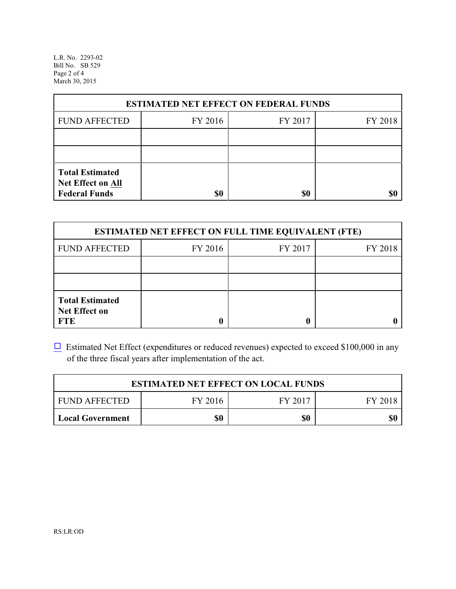L.R. No. 2293-02 Bill No. SB 529 Page 2 of 4 March 30, 2015

| <b>ESTIMATED NET EFFECT ON FEDERAL FUNDS</b>                        |         |         |         |  |
|---------------------------------------------------------------------|---------|---------|---------|--|
| <b>FUND AFFECTED</b>                                                | FY 2016 | FY 2017 | FY 2018 |  |
|                                                                     |         |         |         |  |
|                                                                     |         |         |         |  |
| <b>Total Estimated</b><br>Net Effect on All<br><b>Federal Funds</b> | \$0     | \$0     |         |  |

| <b>ESTIMATED NET EFFECT ON FULL TIME EQUIVALENT (FTE)</b>    |         |         |         |  |
|--------------------------------------------------------------|---------|---------|---------|--|
| <b>FUND AFFECTED</b>                                         | FY 2016 | FY 2017 | FY 2018 |  |
|                                                              |         |         |         |  |
|                                                              |         |         |         |  |
| <b>Total Estimated</b><br><b>Net Effect on</b><br><b>FTE</b> |         |         |         |  |

 $\Box$  Estimated Net Effect (expenditures or reduced revenues) expected to exceed \$100,000 in any of the three fiscal years after implementation of the act.

| <b>ESTIMATED NET EFFECT ON LOCAL FUNDS</b> |         |         |         |  |
|--------------------------------------------|---------|---------|---------|--|
| <b>FUND AFFECTED</b>                       | FY 2016 | FY 2017 | FY 2018 |  |
| <b>Local Government</b>                    | \$0     | \$0     | \$0     |  |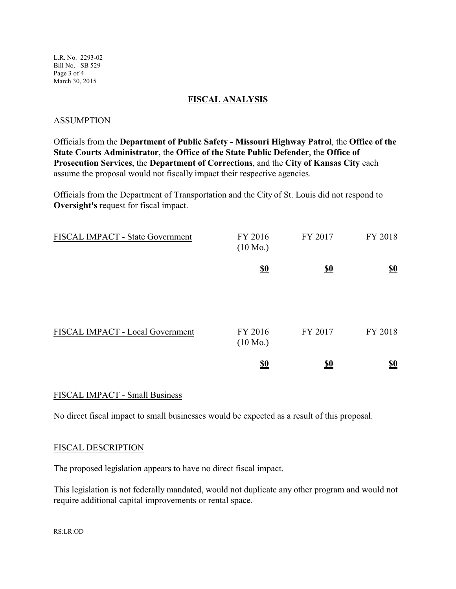L.R. No. 2293-02 Bill No. SB 529 Page 3 of 4 March 30, 2015

#### **FISCAL ANALYSIS**

#### ASSUMPTION

Officials from the **Department of Public Safety - Missouri Highway Patrol**, the **Office of the State Courts Administrator**, the **Office of the State Public Defender**, the **Office of Prosecution Services**, the **Department of Corrections**, and the **City of Kansas City** each assume the proposal would not fiscally impact their respective agencies.

Officials from the Department of Transportation and the City of St. Louis did not respond to **Oversight's** request for fiscal impact.

| FISCAL IMPACT - State Government | FY 2016<br>$(10 \text{ Mo.})$ | FY 2017                       | FY 2018    |
|----------------------------------|-------------------------------|-------------------------------|------------|
|                                  | $\underline{\underline{\$0}}$ | $\underline{\underline{\$0}}$ | <u>\$0</u> |
|                                  |                               |                               |            |
| FISCAL IMPACT - Local Government | FY 2016<br>$(10 \text{ Mo.})$ | FY 2017                       | FY 2018    |
|                                  | $\underline{\mathbf{50}}$     | <u>\$0</u>                    | <u>so</u>  |

## FISCAL IMPACT - Small Business

No direct fiscal impact to small businesses would be expected as a result of this proposal.

## FISCAL DESCRIPTION

The proposed legislation appears to have no direct fiscal impact.

This legislation is not federally mandated, would not duplicate any other program and would not require additional capital improvements or rental space.

RS:LR:OD